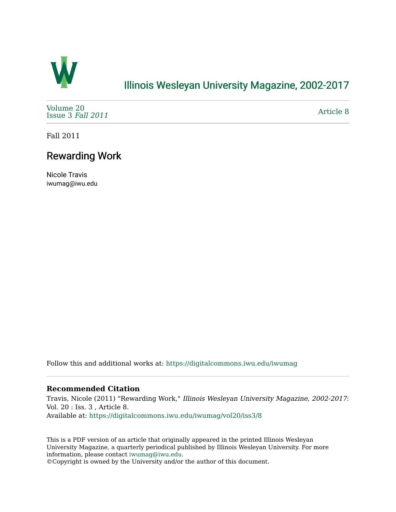

## [Illinois Wesleyan University Magazine, 2002-2017](https://digitalcommons.iwu.edu/iwumag)

[Volume 20](https://digitalcommons.iwu.edu/iwumag/vol20)  [Issue 3](https://digitalcommons.iwu.edu/iwumag/vol20/iss3) Fall 2011

[Article 8](https://digitalcommons.iwu.edu/iwumag/vol20/iss3/8) 

Fall 2011

## Rewarding Work

Nicole Travis iwumag@iwu.edu

Follow this and additional works at: [https://digitalcommons.iwu.edu/iwumag](https://digitalcommons.iwu.edu/iwumag?utm_source=digitalcommons.iwu.edu%2Fiwumag%2Fvol20%2Fiss3%2F8&utm_medium=PDF&utm_campaign=PDFCoverPages) 

#### **Recommended Citation**

Travis, Nicole (2011) "Rewarding Work," Illinois Wesleyan University Magazine, 2002-2017: Vol. 20 : Iss. 3 , Article 8. Available at: [https://digitalcommons.iwu.edu/iwumag/vol20/iss3/8](https://digitalcommons.iwu.edu/iwumag/vol20/iss3/8?utm_source=digitalcommons.iwu.edu%2Fiwumag%2Fvol20%2Fiss3%2F8&utm_medium=PDF&utm_campaign=PDFCoverPages)

This is a PDF version of an article that originally appeared in the printed Illinois Wesleyan University Magazine, a quarterly periodical published by Illinois Wesleyan University. For more information, please contact [iwumag@iwu.edu](mailto:iwumag@iwu.edu).

©Copyright is owned by the University and/or the author of this document.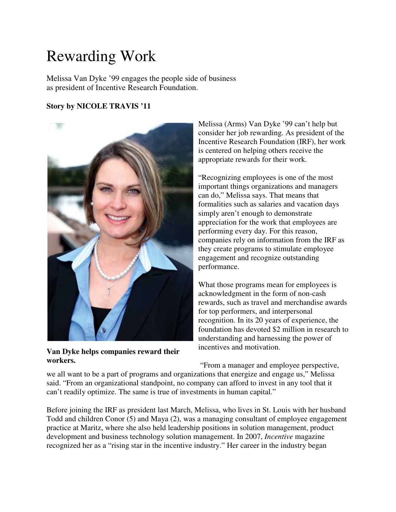# Rewarding Work

Melissa Van Dyke '99 engages the people side of business as president of Incentive Research Foundation.

### **Story by NICOLE TRAVIS '11**



**Van Dyke helps companies reward their workers.**

Melissa (Arms) Van Dyke '99 can't help but consider her job rewarding. As president of the Incentive Research Foundation (IRF), her work is centered on helping others receive the appropriate rewards for their work.

"Recognizing employees is one of the most important things organizations and managers can do," Melissa says. That means that formalities such as salaries and vacation days simply aren't enough to demonstrate appreciation for the work that employees are performing every day. For this reason, companies rely on information from the IRF as they create programs to stimulate employee engagement and recognize outstanding performance.

What those programs mean for employees is acknowledgment in the form of non-cash rewards, such as travel and merchandise awards for top performers, and interpersonal recognition. In its 20 years of experience, the foundation has devoted \$2 million in research to understanding and harnessing the power of incentives and motivation.

"From a manager and employee perspective,

we all want to be a part of programs and organizations that energize and engage us," Melissa said. "From an organizational standpoint, no company can afford to invest in any tool that it can't readily optimize. The same is true of investments in human capital."

Before joining the IRF as president last March, Melissa, who lives in St. Louis with her husband Todd and children Conor (5) and Maya (2), was a managing consultant of employee engagement practice at Maritz, where she also held leadership positions in solution management, product development and business technology solution management. In 2007, *Incentive* magazine recognized her as a "rising star in the incentive industry." Her career in the industry began